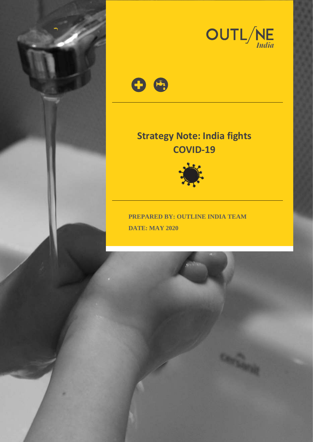



**Contractory** 



# **Strategy Note: India fights COVID-19**



**PREPARED BY: OUTLINE INDIA TEAM DATE: MAY 2020**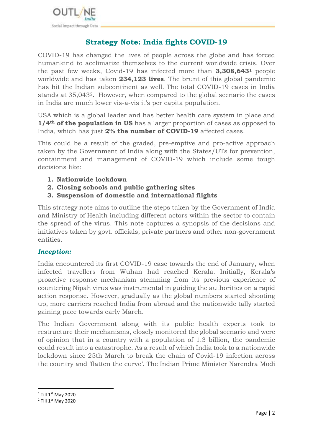

# **Strategy Note: India fights COVID-19**

COVID-19 has changed the lives of people across the globe and has forced humankind to acclimatize themselves to the current worldwide crisis. Over the past few weeks, Covid-19 has infected more than **3,308,643<sup>1</sup>** people worldwide and has taken **234,123 lives**. The brunt of this global pandemic has hit the Indian subcontinent as well. The total COVID-19 cases in India stands at 35,0432. However, when compared to the global scenario the cases in India are much lower vis-à-vis it's per capita population.

USA which is a global leader and has better health care system in place and **1/4th of the population in US** has a larger proportion of cases as opposed to India, which has just **2% the number of COVID-19** affected cases.

This could be a result of the graded, pre-emptive and pro-active approach taken by the Government of India along with the States/UTs for prevention, containment and management of COVID-19 which include some tough decisions like:

- **1. Nationwide lockdown**
- **2. Closing schools and public gathering sites**
- **3. Suspension of domestic and international flights**

This strategy note aims to outline the steps taken by the Government of India and Ministry of Health including different actors within the sector to contain the spread of the virus. This note captures a synopsis of the decisions and initiatives taken by govt. officials, private partners and other non-government entities.

#### *Inception:*

India encountered its first COVID-19 case towards the end of January, when infected travellers from Wuhan had reached Kerala. Initially, Kerala's proactive response mechanism stemming from its previous experience of countering Nipah virus was instrumental in guiding the authorities on a rapid action response. However, gradually as the global numbers started shooting up, more carriers reached India from abroad and the nationwide tally started gaining pace towards early March.

The Indian Government along with its public health experts took to restructure their mechanisms, closely monitored the global scenario and were of opinion that in a country with a population of 1.3 billion, the pandemic could result into a catastrophe. As a result of which India took to a nationwide lockdown since 25th March to break the chain of Covid-19 infection across the country and 'flatten the curve'. The Indian Prime Minister Narendra Modi

**.** 

 $1$  Till 1st May 2020

<sup>&</sup>lt;sup>2</sup> Till 1<sup>st</sup> May 2020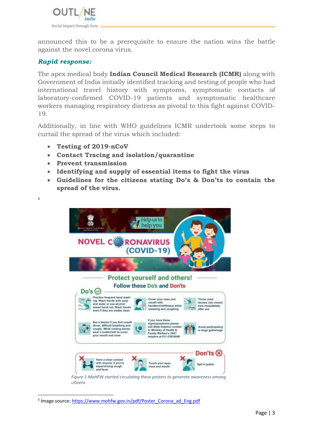

announced this to be a prerequisite to ensure the nation wins the battle against the novel corona virus.

#### *Rapid response:*

3

**.** 

The apex medical body **Indian Council Medical Research (ICMR)** along with Government of India initially identified tracking and testing of people who had international travel history with symptoms, symptomatic contacts of laboratory-confirmed COVID-19 patients and symptomatic healthcare workers managing respiratory distress as pivotal to this fight against COVID-19.

Additionally, in line with WHO guidelines ICMR undertook some steps to curtail the spread of the virus which included:

- **Testing of 2019-nCoV**
- **Contact Tracing and isolation/quarantine**
- **Prevent transmission**
- **Identifying and supply of essential items to fight the virus**
- **Guidelines for the citizens stating Do's & Don'ts to contain the spread of the virus.**



<sup>&</sup>lt;sup>3</sup> Image source: [https://www.mohfw.gov.in/pdf/Poster\\_Corona\\_ad\\_Eng.pdf](https://www.mohfw.gov.in/pdf/Poster_Corona_ad_Eng.pdf)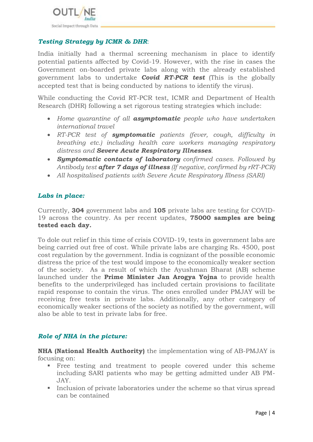

# *Testing Strategy by ICMR & DHR*:

India initially had a thermal screening mechanism in place to identify potential patients affected by Covid-19. However, with the rise in cases the Government on-boarded private labs along with the already established government labs to undertake *Covid RT-PCR test* (This is the globally accepted test that is being conducted by nations to identify the virus).

While conducting the Covid RT-PCR test, ICMR and Department of Health Research (DHR) following a set rigorous testing strategies which include:

- *Home quarantine of all asymptomatic people who have undertaken international travel*
- *RT-PCR test of symptomatic patients (fever, cough, difficulty in breathing etc.) including health care workers managing respiratory distress and Severe Acute Respiratory Illnesses.*
- *Symptomatic contacts of laboratory confirmed cases. Followed by Antibody test after 7 days of illness (If negative, confirmed by rRT-PCR)*
- *All hospitalised patients with Severe Acute Respiratory Illness (SARI)*

## *Labs in place:*

Currently, **304** government labs and **105** private labs are testing for COVID-19 across the country. As per recent updates, **75000 samples are being tested each day.**

To dole out relief in this time of crisis COVID-19, tests in government labs are being carried out free of cost. While private labs are charging Rs. 4500, post cost regulation by the government. India is cognizant of the possible economic distress the price of the test would impose to the economically weaker section of the society. As a result of which the Ayushman Bharat (AB) scheme launched under the **Prime Minister Jan Arogya Yojna** to provide health benefits to the underprivileged has included certain provisions to facilitate rapid response to contain the virus. The ones enrolled under PMJAY will be receiving free tests in private labs. Additionally, any other category of economically weaker sections of the society as notified by the government, will also be able to test in private labs for free.

# *Role of NHA in the picture:*

**NHA (National Health Authority)** the implementation wing of AB-PMJAY is focusing on:

- Free testing and treatment to people covered under this scheme including SARI patients who may be getting admitted under AB PM-JAY.
- **Inclusion of private laboratories under the scheme so that virus spread** can be contained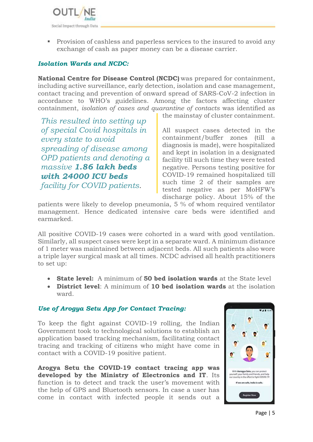

**Provision of cashless and paperless services to the insured to avoid any** exchange of cash as paper money can be a disease carrier.

# *Isolation Wards and NCDC:*

**National Centre for Disease Control (NCDC)** was prepared for containment, including active surveillance, early detection, isolation and case management, contact tracing and prevention of onward spread of SARS-CoV-2 infection in accordance to WHO's guidelines. Among the factors affecting cluster containment, *isolation of cases and quarantine of contacts* was identified as

*This resulted into setting up of special Covid hospitals in every state to avoid spreading of disease among OPD patients and denoting a massive 1.86 lakh beds with 24000 ICU beds facility for COVID patients*.

the mainstay of cluster containment.

All suspect cases detected in the containment/buffer zones (till a diagnosis is made), were hospitalized and kept in isolation in a designated facility till such time they were tested negative. Persons testing positive for COVID-19 remained hospitalized till such time 2 of their samples are tested negative as per MoHFW's discharge policy. About 15% of the

patients were likely to develop pneumonia, 5 % of whom required ventilator management. Hence dedicated intensive care beds were identified and earmarked.

All positive COVID-19 cases were cohorted in a ward with good ventilation. Similarly, all suspect cases were kept in a separate ward. A minimum distance of 1 meter was maintained between adjacent beds. All such patients also wore a triple layer surgical mask at all times. NCDC advised all health practitioners to set up:

- **State level:** A minimum of **50 bed isolation wards** at the State level
- **District level**: A minimum of **10 bed isolation wards** at the isolation ward.

# *Use of Arogya Setu App for Contact Tracing:*

To keep the fight against COVID-19 rolling, the Indian Government took to technological solutions to establish an application based tracking mechanism, facilitating contact tracing and tracking of citizens who might have come in contact with a COVID-19 positive patient.

**[Arogya Setu](https://play.google.com/store/apps/details?id=nic.goi.aarogyasetu&hl=en_IN) the COVID-19 contact tracing app was developed by the Ministry of Electronics and IT**. Its function is to detect and track the user's movement with the help of GPS and Bluetooth sensors. In case a user has come in contact with infected people it sends out a

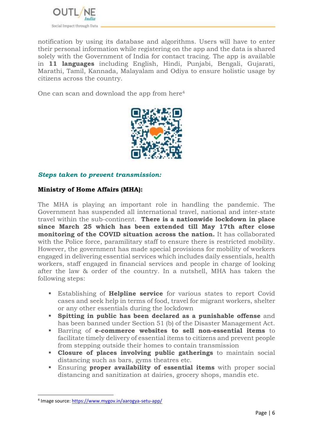

notification by using its database and algorithms. Users will have to enter their personal information while registering on the app and the data is shared solely with the Government of India for contact tracing. The app is available in **11 languages** including English, Hindi, Punjabi, Bengali, Gujarati, Marathi, Tamil, Kannada, Malayalam and Odiya to ensure holistic usage by citizens across the country.

One can scan and download the app from here<sup>4</sup>



## *Steps taken to prevent transmission:*

## **Ministry of Home Affairs (MHA):**

The MHA is playing an important role in handling the pandemic. The Government has suspended all international travel, national and inter-state travel within the sub-continent. **There is a nationwide lockdown in place since March 25 which has been extended till May 17th after close monitoring of the COVID situation across the nation.** It has collaborated with the Police force, paramilitary staff to ensure there is restricted mobility. However, the government has made special provisions for mobility of workers engaged in delivering essential services which includes daily essentials, health workers, staff engaged in financial services and people in charge of looking after the law & order of the country. In a nutshell, MHA has taken the following steps:

- Establishing of **Helpline service** for various states to report Covid cases and seek help in terms of food, travel for migrant workers, shelter or any other essentials during the lockdown
- **Spitting in public has been declared as a punishable offense** and has been banned under Section 51 (b) of the Disaster Management Act.
- Barring of **e-commerce websites to sell non-essential items** to facilitate timely delivery of essential items to citizens and prevent people from stepping outside their homes to contain transmission
- **Closure of places involving public gatherings** to maintain social distancing such as bars, gyms theatres etc.
- Ensuring **proper availability of essential items** with proper social distancing and sanitization at dairies, grocery shops, mandis etc.

**.** 

<sup>&</sup>lt;sup>4</sup> Image source:<https://www.mygov.in/aarogya-setu-app/>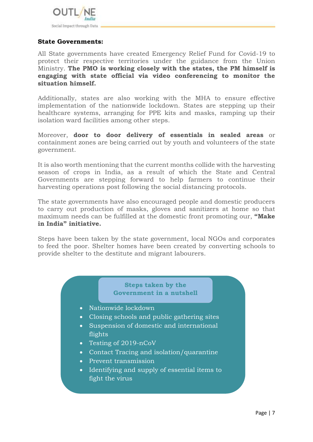

#### **State Governments:**

All State governments have created Emergency Relief Fund for Covid-19 to protect their respective territories under the guidance from the Union Ministry. **The PMO is working closely with the states, the PM himself is engaging with state official via video conferencing to monitor the situation himself.** 

Additionally, states are also working with the MHA to ensure effective implementation of the nationwide lockdown. States are stepping up their healthcare systems, arranging for PPE kits and masks, ramping up their isolation ward facilities among other steps.

Moreover, **door to door delivery of essentials in sealed areas** or containment zones are being carried out by youth and volunteers of the state government.

It is also worth mentioning that the current months collide with the harvesting season of crops in India, as a result of which the State and Central Governments are stepping forward to help farmers to continue their harvesting operations post following the social distancing protocols.

The state governments have also encouraged people and domestic producers to carry out production of masks, gloves and sanitizers at home so that maximum needs can be fulfilled at the domestic front promoting our, **"Make in India" initiative.**

Steps have been taken by the state government, local NGOs and corporates to feed the poor. Shelter homes have been created by converting schools to provide shelter to the destitute and migrant labourers.

#### **Steps taken by the Government in a nutshell**

- Nationwide lockdown
- Closing schools and public gathering sites
- Suspension of domestic and international flights
- Testing of 2019-nCoV
- Contact Tracing and isolation/quarantine
- Prevent transmission
- Identifying and supply of essential items to fight the virus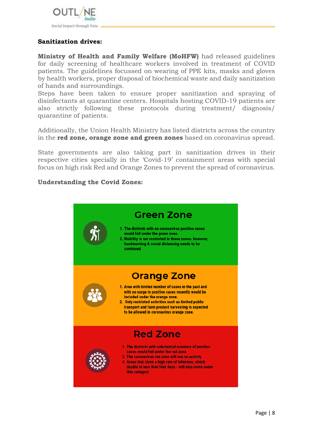

# **Sanitization drives:**

**Ministry of Health and Family Welfare (MoHFW)** had released guidelines for daily screening of healthcare workers involved in treatment of COVID patients. The guidelines focussed on wearing of PPE kits, masks and gloves by health workers, proper disposal of biochemical waste and daily sanitization of hands and surroundings.

Steps have been taken to ensure proper sanitization and spraying of disinfectants at quarantine centers. Hospitals hosting COVID-19 patients are also strictly following these protocols during treatment/ diagnosis/ quarantine of patients.

Additionally, the Union Health Ministry has listed districts across the country in the **red zone, orange zone and green zones** based on coronavirus spread.

State governments are also taking part in sanitization drives in their respective cities specially in the 'Covid-19' containment areas with special focus on high risk Red and Orange Zones to prevent the spread of coronavirus.

#### **Understanding the Covid Zones:**

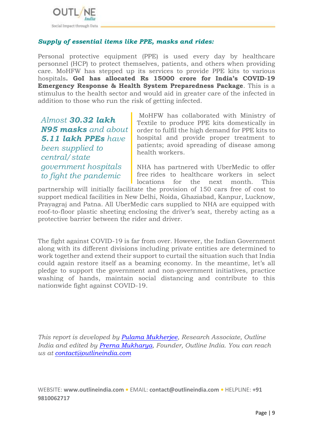

# *Supply of essential items like PPE, masks and rides:*

Personal protective equipment (PPE) is used every day by healthcare personnel (HCP) to protect themselves, patients, and others when providing care. MoHFW has stepped up its services to provide PPE kits to various hospitals**. GoI has allocated Rs 15000 crore for India's COVID-19 Emergency Response & Health System Preparedness Package**. This is a stimulus to the health sector and would aid in greater care of the infected in addition to those who run the risk of getting infected.

*Almost 30.32 lakh N95 masks and about 5.11 lakh PPEs have been supplied to central/state government hospitals to fight the pandemic*

MoHFW has collaborated with Ministry of Textile to produce PPE kits domestically in order to fulfil the high demand for PPE kits to hospital and provide proper treatment to patients; avoid spreading of disease among health workers.

NHA has partnered with UberMedic to offer free rides to healthcare workers in select locations for the next month. This

partnership will initially facilitate the provision of 150 cars free of cost to support medical facilities in New Delhi, Noida, Ghaziabad, Kanpur, Lucknow, Prayagraj and Patna. All UberMedic cars supplied to NHA are equipped with roof-to-floor plastic sheeting enclosing the driver's seat, thereby acting as a protective barrier between the rider and driver.

The fight against COVID-19 is far from over. However, the Indian Government along with its different divisions including private entities are determined to work together and extend their support to curtail the situation such that India could again restore itself as a beaming economy. In the meantime, let's all pledge to support the government and non-government initiatives, practice washing of hands, maintain social distancing and contribute to this nationwide fight against COVID-19.

*This report is developed by [Pulama Mukherjee,](https://in.linkedin.com/in/pulama-mukherjee-b9158a126) Research Associate, Outline India and edited by [Prerna Mukharya,](https://in.linkedin.com/in/prernamukharya) Founder, Outline India. You can reach us at [contact@outlineindia.com](mailto:contact@outlineindia.com)*

WEBSITE: **[www.outlineindia.com](http://www.outlineindia.com/) •** EMAIL: **[contact@outlineindia.com](mailto:contact@outlineindia.com) •** HELPLINE: **+91 9810062717**